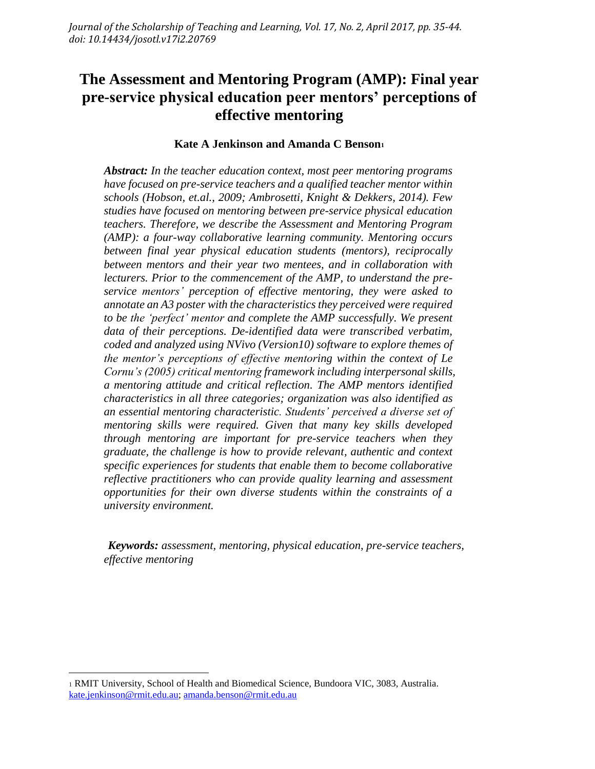# **The Assessment and Mentoring Program (AMP): Final year pre-service physical education peer mentors' perceptions of effective mentoring**

#### **Kate A Jenkinson and Amanda C Benson<sup>1</sup>**

*Abstract: In the teacher education context, most peer mentoring programs have focused on pre-service teachers and a qualified teacher mentor within schools (Hobson, et.al., 2009; Ambrosetti, Knight & Dekkers, 2014). Few studies have focused on mentoring between pre-service physical education teachers. Therefore, we describe the Assessment and Mentoring Program (AMP): a four-way collaborative learning community. Mentoring occurs between final year physical education students (mentors), reciprocally between mentors and their year two mentees, and in collaboration with lecturers. Prior to the commencement of the AMP, to understand the preservice mentors' perception of effective mentoring, they were asked to annotate an A3 poster with the characteristics they perceived were required to be the 'perfect' mentor and complete the AMP successfully. We present data of their perceptions. De-identified data were transcribed verbatim, coded and analyzed using NVivo (Version10) software to explore themes of the mentor's perceptions of effective mentoring within the context of Le Cornu's (2005) critical mentoring framework including interpersonal skills, a mentoring attitude and critical reflection. The AMP mentors identified characteristics in all three categories; organization was also identified as an essential mentoring characteristic. Students' perceived a diverse set of mentoring skills were required. Given that many key skills developed through mentoring are important for pre-service teachers when they graduate, the challenge is how to provide relevant, authentic and context specific experiences for students that enable them to become collaborative reflective practitioners who can provide quality learning and assessment opportunities for their own diverse students within the constraints of a university environment.*

*Keywords: assessment, mentoring, physical education, pre-service teachers, effective mentoring*

 $\overline{\phantom{a}}$ 

<sup>1</sup> RMIT University, School of Health and Biomedical Science, Bundoora VIC, 3083, Australia. [kate.jenkinson@rmit.edu.au;](mailto:kate.jenkinson@rmit.edu.au) [amanda.benson@rmit.edu.au](mailto:amanda.benson@rmit.edu.au)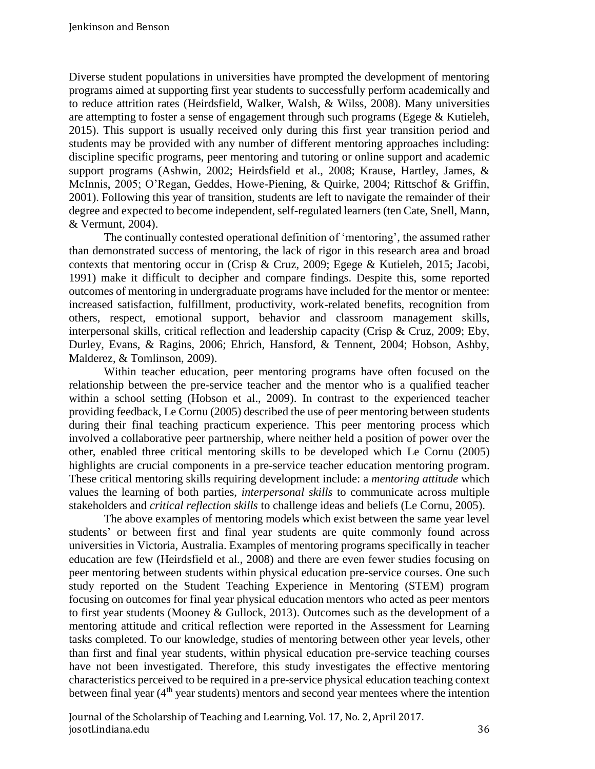Diverse student populations in universities have prompted the development of mentoring programs aimed at supporting first year students to successfully perform academically and to reduce attrition rates (Heirdsfield, Walker, Walsh, & Wilss, 2008). Many universities are attempting to foster a sense of engagement through such programs (Egege & Kutieleh, 2015). This support is usually received only during this first year transition period and students may be provided with any number of different mentoring approaches including: discipline specific programs, peer mentoring and tutoring or online support and academic support programs (Ashwin, 2002; Heirdsfield et al., 2008; Krause, Hartley, James, & McInnis, 2005; O'Regan, Geddes, Howe-Piening, & Quirke, 2004; Rittschof & Griffin, 2001). Following this year of transition, students are left to navigate the remainder of their degree and expected to become independent, self-regulated learners (ten Cate, Snell, Mann, & Vermunt, 2004).

The continually contested operational definition of 'mentoring', the assumed rather than demonstrated success of mentoring, the lack of rigor in this research area and broad contexts that mentoring occur in (Crisp & Cruz, 2009; Egege & Kutieleh, 2015; Jacobi, 1991) make it difficult to decipher and compare findings. Despite this, some reported outcomes of mentoring in undergraduate programs have included for the mentor or mentee: increased satisfaction, fulfillment, productivity, work-related benefits, recognition from others, respect, emotional support, behavior and classroom management skills, interpersonal skills, critical reflection and leadership capacity (Crisp & Cruz, 2009; Eby, Durley, Evans, & Ragins, 2006; Ehrich, Hansford, & Tennent, 2004; Hobson, Ashby, Malderez, & Tomlinson, 2009).

Within teacher education, peer mentoring programs have often focused on the relationship between the pre-service teacher and the mentor who is a qualified teacher within a school setting (Hobson et al., 2009). In contrast to the experienced teacher providing feedback, Le Cornu (2005) described the use of peer mentoring between students during their final teaching practicum experience. This peer mentoring process which involved a collaborative peer partnership, where neither held a position of power over the other, enabled three critical mentoring skills to be developed which Le Cornu (2005) highlights are crucial components in a pre-service teacher education mentoring program. These critical mentoring skills requiring development include: a *mentoring attitude* which values the learning of both parties, *interpersonal skills* to communicate across multiple stakeholders and *critical reflection skills* to challenge ideas and beliefs (Le Cornu, 2005).

The above examples of mentoring models which exist between the same year level students' or between first and final year students are quite commonly found across universities in Victoria, Australia. Examples of mentoring programs specifically in teacher education are few (Heirdsfield et al., 2008) and there are even fewer studies focusing on peer mentoring between students within physical education pre-service courses. One such study reported on the Student Teaching Experience in Mentoring (STEM) program focusing on outcomes for final year physical education mentors who acted as peer mentors to first year students (Mooney & Gullock, 2013). Outcomes such as the development of a mentoring attitude and critical reflection were reported in the Assessment for Learning tasks completed. To our knowledge, studies of mentoring between other year levels, other than first and final year students, within physical education pre-service teaching courses have not been investigated. Therefore, this study investigates the effective mentoring characteristics perceived to be required in a pre-service physical education teaching context between final year  $(4<sup>th</sup>$  year students) mentors and second year mentees where the intention

Journal of the Scholarship of Teaching and Learning, Vol. 17, No. 2, April 2017. josotl.indiana.edu 36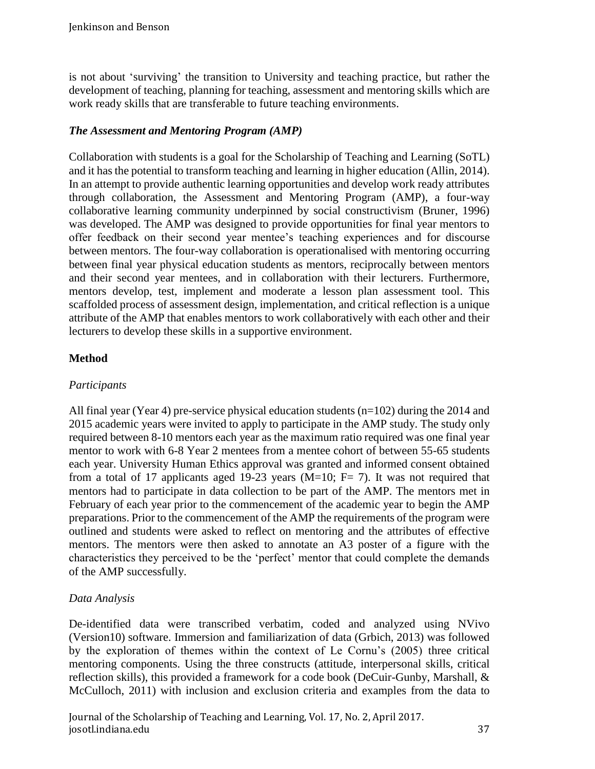is not about 'surviving' the transition to University and teaching practice, but rather the development of teaching, planning for teaching, assessment and mentoring skills which are work ready skills that are transferable to future teaching environments.

## *The Assessment and Mentoring Program (AMP)*

Collaboration with students is a goal for the Scholarship of Teaching and Learning (SoTL) and it has the potential to transform teaching and learning in higher education (Allin, 2014). In an attempt to provide authentic learning opportunities and develop work ready attributes through collaboration, the Assessment and Mentoring Program (AMP), a four-way collaborative learning community underpinned by social constructivism (Bruner, 1996) was developed. The AMP was designed to provide opportunities for final year mentors to offer feedback on their second year mentee's teaching experiences and for discourse between mentors. The four-way collaboration is operationalised with mentoring occurring between final year physical education students as mentors, reciprocally between mentors and their second year mentees, and in collaboration with their lecturers. Furthermore, mentors develop, test, implement and moderate a lesson plan assessment tool. This scaffolded process of assessment design, implementation, and critical reflection is a unique attribute of the AMP that enables mentors to work collaboratively with each other and their lecturers to develop these skills in a supportive environment.

# **Method**

# *Participants*

All final year (Year 4) pre-service physical education students (n=102) during the 2014 and 2015 academic years were invited to apply to participate in the AMP study. The study only required between 8-10 mentors each year as the maximum ratio required was one final year mentor to work with 6-8 Year 2 mentees from a mentee cohort of between 55-65 students each year. University Human Ethics approval was granted and informed consent obtained from a total of 17 applicants aged 19-23 years (M=10; F= 7). It was not required that mentors had to participate in data collection to be part of the AMP. The mentors met in February of each year prior to the commencement of the academic year to begin the AMP preparations. Prior to the commencement of the AMP the requirements of the program were outlined and students were asked to reflect on mentoring and the attributes of effective mentors. The mentors were then asked to annotate an A3 poster of a figure with the characteristics they perceived to be the 'perfect' mentor that could complete the demands of the AMP successfully.

# *Data Analysis*

De-identified data were transcribed verbatim, coded and analyzed using NVivo (Version10) software. Immersion and familiarization of data (Grbich, 2013) was followed by the exploration of themes within the context of Le Cornu's (2005) three critical mentoring components. Using the three constructs (attitude, interpersonal skills, critical reflection skills), this provided a framework for a code book (DeCuir-Gunby, Marshall, & McCulloch, 2011) with inclusion and exclusion criteria and examples from the data to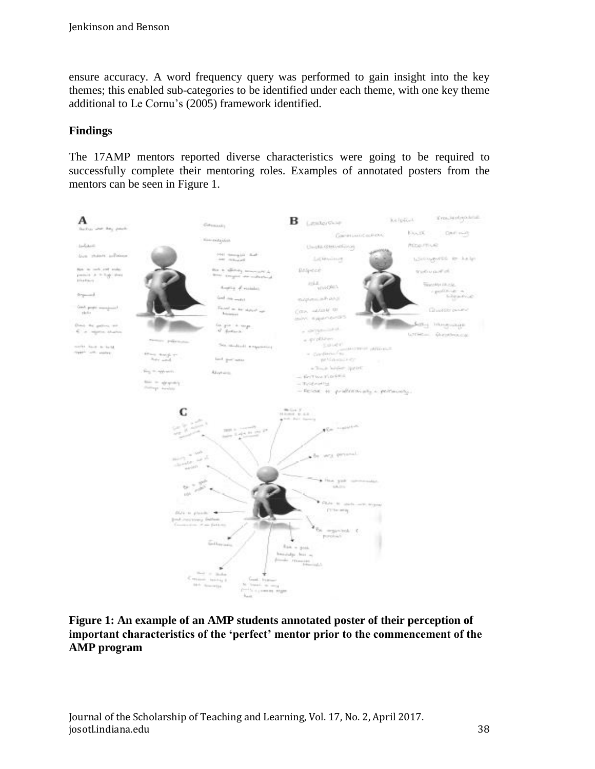ensure accuracy. A word frequency query was performed to gain insight into the key themes; this enabled sub-categories to be identified under each theme, with one key theme additional to Le Cornu's (2005) framework identified.

## **Findings**

The 17AMP mentors reported diverse characteristics were going to be required to successfully complete their mentoring roles. Examples of annotated posters from the mentors can be seen in Figure 1.



#### **Figure 1: An example of an AMP students annotated poster of their perception of important characteristics of the 'perfect' mentor prior to the commencement of the AMP program**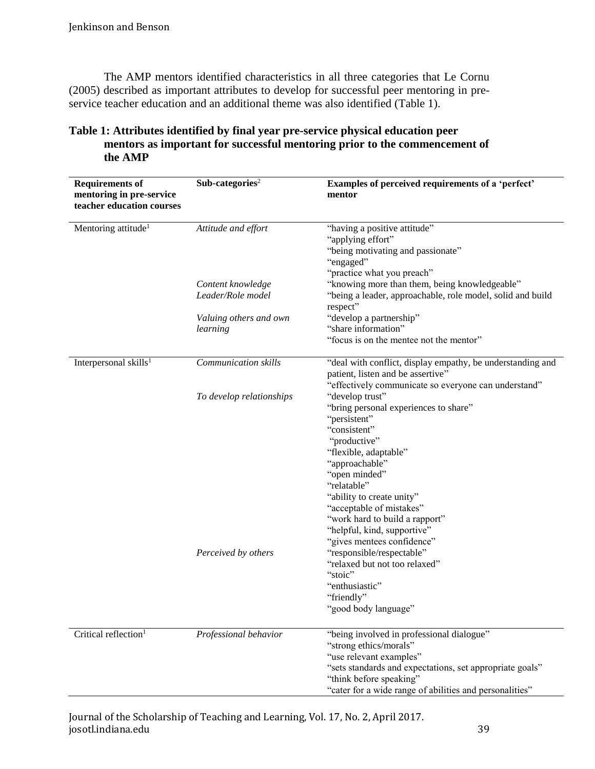The AMP mentors identified characteristics in all three categories that Le Cornu (2005) described as important attributes to develop for successful peer mentoring in preservice teacher education and an additional theme was also identified (Table 1).

| <b>Requirements of</b><br>mentoring in pre-service<br>teacher education courses | Sub-categories <sup>2</sup> | Examples of perceived requirements of a 'perfect'<br>mentor                                                                                                                                                                                                                                                                                                                                                                                               |
|---------------------------------------------------------------------------------|-----------------------------|-----------------------------------------------------------------------------------------------------------------------------------------------------------------------------------------------------------------------------------------------------------------------------------------------------------------------------------------------------------------------------------------------------------------------------------------------------------|
| Mentoring attitude <sup>1</sup>                                                 | Attitude and effort         | "having a positive attitude"<br>"applying effort"<br>"being motivating and passionate"<br>"engaged"<br>"practice what you preach"                                                                                                                                                                                                                                                                                                                         |
|                                                                                 | Content knowledge           | "knowing more than them, being knowledgeable"                                                                                                                                                                                                                                                                                                                                                                                                             |
|                                                                                 | Leader/Role model           | "being a leader, approachable, role model, solid and build<br>respect"                                                                                                                                                                                                                                                                                                                                                                                    |
|                                                                                 | Valuing others and own      | "develop a partnership"                                                                                                                                                                                                                                                                                                                                                                                                                                   |
|                                                                                 | learning                    | "share information"                                                                                                                                                                                                                                                                                                                                                                                                                                       |
|                                                                                 |                             | "focus is on the mentee not the mentor"                                                                                                                                                                                                                                                                                                                                                                                                                   |
| Interpersonal skills <sup>1</sup>                                               | Communication skills        | "deal with conflict, display empathy, be understanding and<br>patient, listen and be assertive"                                                                                                                                                                                                                                                                                                                                                           |
|                                                                                 | To develop relationships    | "effectively communicate so everyone can understand"<br>"develop trust"                                                                                                                                                                                                                                                                                                                                                                                   |
|                                                                                 | Perceived by others         | "bring personal experiences to share"<br>"persistent"<br>"consistent"<br>"productive"<br>"flexible, adaptable"<br>"approachable"<br>"open minded"<br>"relatable"<br>"ability to create unity"<br>"acceptable of mistakes"<br>"work hard to build a rapport"<br>"helpful, kind, supportive"<br>"gives mentees confidence"<br>"responsible/respectable"<br>"relaxed but not too relaxed"<br>"stoic"<br>"enthusiastic"<br>"friendly"<br>"good body language" |
| Critical reflection <sup>1</sup>                                                | Professional behavior       | "being involved in professional dialogue"<br>"strong ethics/morals"<br>"use relevant examples"<br>"sets standards and expectations, set appropriate goals"<br>"think before speaking"<br>"cater for a wide range of abilities and personalities"                                                                                                                                                                                                          |

## **Table 1: Attributes identified by final year pre-service physical education peer mentors as important for successful mentoring prior to the commencement of the AMP**

#### Journal of the Scholarship of Teaching and Learning, Vol. 17, No. 2, April 2017. josotl.indiana.edu 39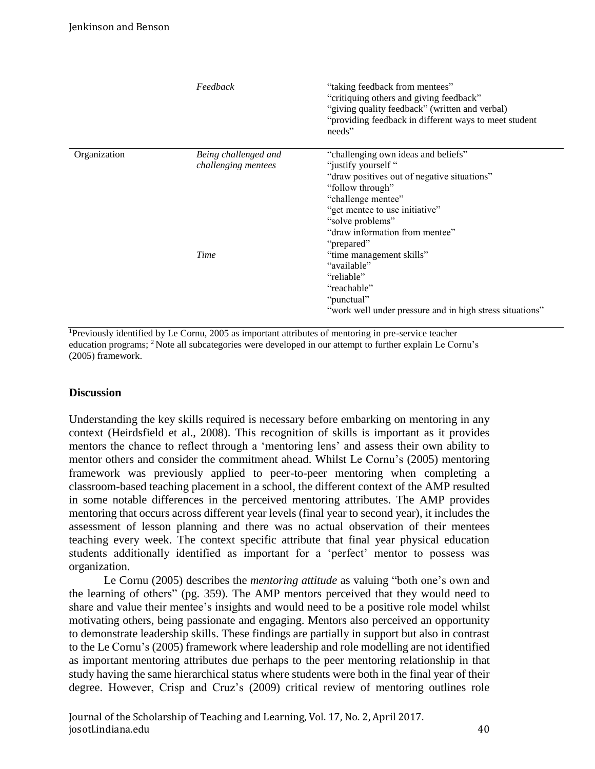|              | Feedback                                    | "taking feedback from mentees"<br>"critiquing others and giving feedback"<br>"giving quality feedback" (written and verbal)<br>"providing feedback in different ways to meet student<br>needs"                                                           |
|--------------|---------------------------------------------|----------------------------------------------------------------------------------------------------------------------------------------------------------------------------------------------------------------------------------------------------------|
| Organization | Being challenged and<br>challenging mentees | "challenging own ideas and beliefs"<br>"justify yourself"<br>"draw positives out of negative situations"<br>"follow through"<br>"challenge mentee"<br>"get mentee to use initiative"<br>"solve problems"<br>"draw information from mentee"<br>"prepared" |
|              | Time                                        | "time management skills"<br>"available"<br>"reliable"<br>"reachable"<br>"punctual"<br>"work well under pressure and in high stress situations"                                                                                                           |

<sup>1</sup>Previously identified by Le Cornu, 2005 as important attributes of mentoring in pre-service teacher education programs; <sup>2</sup> Note all subcategories were developed in our attempt to further explain Le Cornu's (2005) framework.

### **Discussion**

Understanding the key skills required is necessary before embarking on mentoring in any context (Heirdsfield et al., 2008). This recognition of skills is important as it provides mentors the chance to reflect through a 'mentoring lens' and assess their own ability to mentor others and consider the commitment ahead. Whilst Le Cornu's (2005) mentoring framework was previously applied to peer-to-peer mentoring when completing a classroom-based teaching placement in a school, the different context of the AMP resulted in some notable differences in the perceived mentoring attributes. The AMP provides mentoring that occurs across different year levels (final year to second year), it includes the assessment of lesson planning and there was no actual observation of their mentees teaching every week. The context specific attribute that final year physical education students additionally identified as important for a 'perfect' mentor to possess was organization.

Le Cornu (2005) describes the *mentoring attitude* as valuing "both one's own and the learning of others" (pg. 359). The AMP mentors perceived that they would need to share and value their mentee's insights and would need to be a positive role model whilst motivating others, being passionate and engaging. Mentors also perceived an opportunity to demonstrate leadership skills. These findings are partially in support but also in contrast to the Le Cornu's (2005) framework where leadership and role modelling are not identified as important mentoring attributes due perhaps to the peer mentoring relationship in that study having the same hierarchical status where students were both in the final year of their degree. However, Crisp and Cruz's (2009) critical review of mentoring outlines role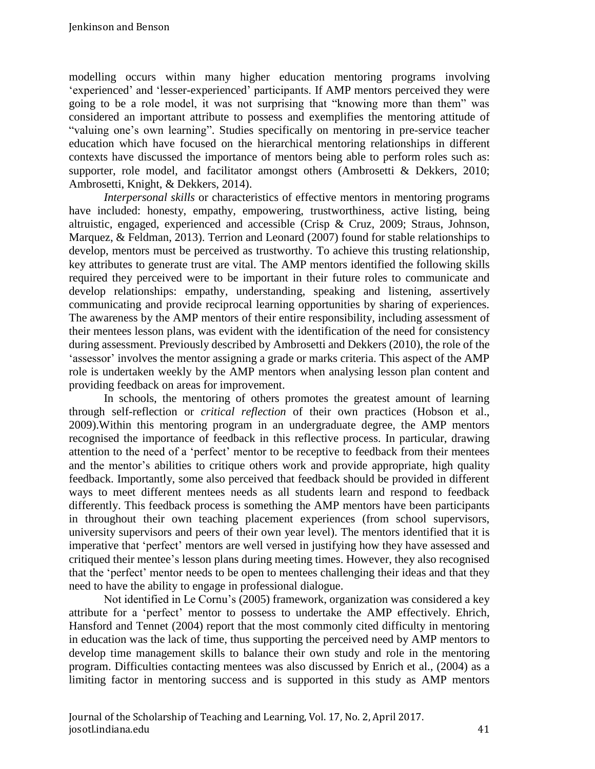modelling occurs within many higher education mentoring programs involving 'experienced' and 'lesser-experienced' participants. If AMP mentors perceived they were going to be a role model, it was not surprising that "knowing more than them" was considered an important attribute to possess and exemplifies the mentoring attitude of "valuing one's own learning". Studies specifically on mentoring in pre-service teacher education which have focused on the hierarchical mentoring relationships in different contexts have discussed the importance of mentors being able to perform roles such as: supporter, role model, and facilitator amongst others (Ambrosetti & Dekkers, 2010; Ambrosetti, Knight, & Dekkers, 2014).

*Interpersonal skills* or characteristics of effective mentors in mentoring programs have included: honesty, empathy, empowering, trustworthiness, active listing, being altruistic, engaged, experienced and accessible (Crisp & Cruz, 2009; Straus, Johnson, Marquez, & Feldman, 2013). Terrion and Leonard (2007) found for stable relationships to develop, mentors must be perceived as trustworthy. To achieve this trusting relationship, key attributes to generate trust are vital. The AMP mentors identified the following skills required they perceived were to be important in their future roles to communicate and develop relationships: empathy, understanding, speaking and listening, assertively communicating and provide reciprocal learning opportunities by sharing of experiences. The awareness by the AMP mentors of their entire responsibility, including assessment of their mentees lesson plans, was evident with the identification of the need for consistency during assessment. Previously described by Ambrosetti and Dekkers (2010), the role of the 'assessor' involves the mentor assigning a grade or marks criteria. This aspect of the AMP role is undertaken weekly by the AMP mentors when analysing lesson plan content and providing feedback on areas for improvement.

In schools, the mentoring of others promotes the greatest amount of learning through self-reflection or *critical reflection* of their own practices (Hobson et al., 2009).Within this mentoring program in an undergraduate degree, the AMP mentors recognised the importance of feedback in this reflective process. In particular, drawing attention to the need of a 'perfect' mentor to be receptive to feedback from their mentees and the mentor's abilities to critique others work and provide appropriate, high quality feedback. Importantly, some also perceived that feedback should be provided in different ways to meet different mentees needs as all students learn and respond to feedback differently. This feedback process is something the AMP mentors have been participants in throughout their own teaching placement experiences (from school supervisors, university supervisors and peers of their own year level). The mentors identified that it is imperative that 'perfect' mentors are well versed in justifying how they have assessed and critiqued their mentee's lesson plans during meeting times. However, they also recognised that the 'perfect' mentor needs to be open to mentees challenging their ideas and that they need to have the ability to engage in professional dialogue.

Not identified in Le Cornu's (2005) framework, organization was considered a key attribute for a 'perfect' mentor to possess to undertake the AMP effectively. Ehrich, Hansford and Tennet (2004) report that the most commonly cited difficulty in mentoring in education was the lack of time, thus supporting the perceived need by AMP mentors to develop time management skills to balance their own study and role in the mentoring program. Difficulties contacting mentees was also discussed by Enrich et al., (2004) as a limiting factor in mentoring success and is supported in this study as AMP mentors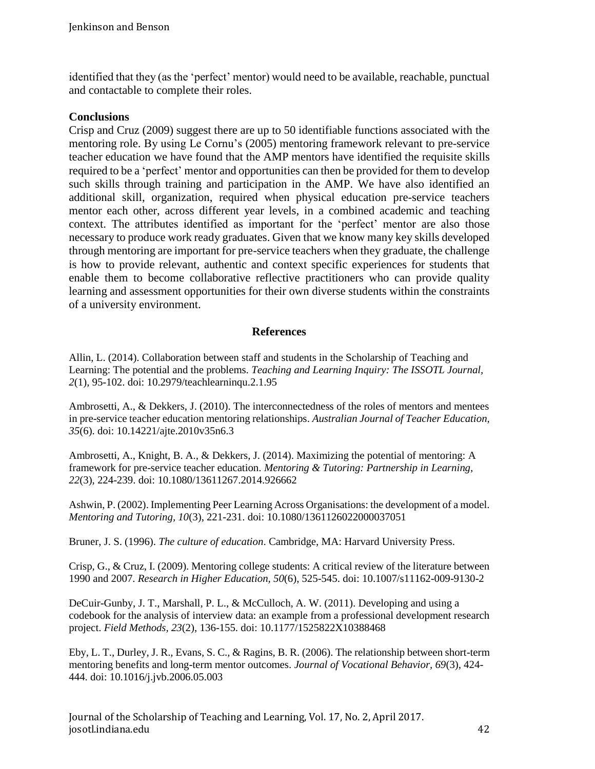identified that they (as the 'perfect' mentor) would need to be available, reachable, punctual and contactable to complete their roles.

#### **Conclusions**

Crisp and Cruz (2009) suggest there are up to 50 identifiable functions associated with the mentoring role. By using Le Cornu's (2005) mentoring framework relevant to pre-service teacher education we have found that the AMP mentors have identified the requisite skills required to be a 'perfect' mentor and opportunities can then be provided for them to develop such skills through training and participation in the AMP. We have also identified an additional skill, organization, required when physical education pre-service teachers mentor each other, across different year levels, in a combined academic and teaching context. The attributes identified as important for the 'perfect' mentor are also those necessary to produce work ready graduates. Given that we know many key skills developed through mentoring are important for pre-service teachers when they graduate, the challenge is how to provide relevant, authentic and context specific experiences for students that enable them to become collaborative reflective practitioners who can provide quality learning and assessment opportunities for their own diverse students within the constraints of a university environment.

#### **References**

Allin, L. (2014). Collaboration between staff and students in the Scholarship of Teaching and Learning: The potential and the problems. *Teaching and Learning Inquiry: The ISSOTL Journal, 2*(1), 95-102. doi: 10.2979/teachlearninqu.2.1.95

Ambrosetti, A., & Dekkers, J. (2010). The interconnectedness of the roles of mentors and mentees in pre-service teacher education mentoring relationships. *Australian Journal of Teacher Education, 35*(6). doi: 10.14221/ajte.2010v35n6.3

Ambrosetti, A., Knight, B. A., & Dekkers, J. (2014). Maximizing the potential of mentoring: A framework for pre-service teacher education. *Mentoring & Tutoring: Partnership in Learning, 22*(3), 224-239. doi: 10.1080/13611267.2014.926662

Ashwin, P. (2002). Implementing Peer Learning Across Organisations: the development of a model. *Mentoring and Tutoring, 10*(3), 221-231. doi: 10.1080/1361126022000037051

Bruner, J. S. (1996). *The culture of education*. Cambridge, MA: Harvard University Press.

Crisp, G., & Cruz, I. (2009). Mentoring college students: A critical review of the literature between 1990 and 2007. *Research in Higher Education, 50*(6), 525-545. doi: 10.1007/s11162-009-9130-2

DeCuir-Gunby, J. T., Marshall, P. L., & McCulloch, A. W. (2011). Developing and using a codebook for the analysis of interview data: an example from a professional development research project. *Field Methods, 23*(2), 136-155. doi: 10.1177/1525822X10388468

Eby, L. T., Durley, J. R., Evans, S. C., & Ragins, B. R. (2006). The relationship between short-term mentoring benefits and long-term mentor outcomes. *Journal of Vocational Behavior, 69*(3), 424- 444. doi: 10.1016/j.jvb.2006.05.003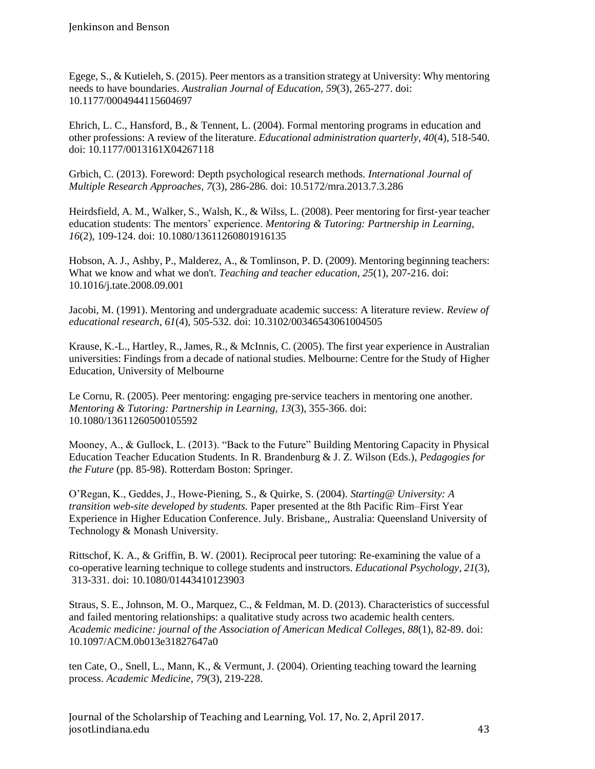Egege, S., & Kutieleh, S. (2015). Peer mentors as a transition strategy at University: Why mentoring needs to have boundaries. *Australian Journal of Education, 59*(3), 265-277. doi: 10.1177/0004944115604697

Ehrich, L. C., Hansford, B., & Tennent, L. (2004). Formal mentoring programs in education and other professions: A review of the literature. *Educational administration quarterly, 40*(4), 518-540. doi: 10.1177/0013161X04267118

Grbich, C. (2013). Foreword: Depth psychological research methods. *International Journal of Multiple Research Approaches, 7*(3), 286-286. doi: 10.5172/mra.2013.7.3.286

Heirdsfield, A. M., Walker, S., Walsh, K., & Wilss, L. (2008). Peer mentoring for first‐year teacher education students: The mentors' experience. *Mentoring & Tutoring: Partnership in Learning, 16*(2), 109-124. doi: 10.1080/13611260801916135

Hobson, A. J., Ashby, P., Malderez, A., & Tomlinson, P. D. (2009). Mentoring beginning teachers: What we know and what we don't. *Teaching and teacher education, 25*(1), 207-216. doi: 10.1016/j.tate.2008.09.001

Jacobi, M. (1991). Mentoring and undergraduate academic success: A literature review. *Review of educational research, 61*(4), 505-532. doi: 10.3102/00346543061004505

Krause, K.-L., Hartley, R., James, R., & McInnis, C. (2005). The first year experience in Australian universities: Findings from a decade of national studies. Melbourne: Centre for the Study of Higher Education, University of Melbourne

Le Cornu, R. (2005). Peer mentoring: engaging pre‐service teachers in mentoring one another. *Mentoring & Tutoring: Partnership in Learning, 13*(3), 355-366. doi: 10.1080/13611260500105592

Mooney, A., & Gullock, L. (2013). "Back to the Future" Building Mentoring Capacity in Physical Education Teacher Education Students. In R. Brandenburg & J. Z. Wilson (Eds.), *Pedagogies for the Future* (pp. 85-98). Rotterdam Boston: Springer.

O'Regan, K., Geddes, J., Howe-Piening, S., & Quirke, S. (2004). *Starting@ University: A transition web-site developed by students.* Paper presented at the 8th Pacific Rim–First Year Experience in Higher Education Conference. July. Brisbane,, Australia: Queensland University of Technology & Monash University.

Rittschof, K. A., & Griffin, B. W. (2001). Reciprocal peer tutoring: Re-examining the value of a co-operative learning technique to college students and instructors. *Educational Psychology, 21*(3), 313-331. doi: 10.1080/01443410123903

Straus, S. E., Johnson, M. O., Marquez, C., & Feldman, M. D. (2013). Characteristics of successful and failed mentoring relationships: a qualitative study across two academic health centers. *Academic medicine: journal of the Association of American Medical Colleges, 88*(1), 82-89. doi: 10.1097/ACM.0b013e31827647a0

ten Cate, O., Snell, L., Mann, K., & Vermunt, J. (2004). Orienting teaching toward the learning process. *Academic Medicine, 79*(3), 219-228.

Journal of the Scholarship of Teaching and Learning, Vol. 17, No. 2, April 2017. josotl.indiana.edu 43